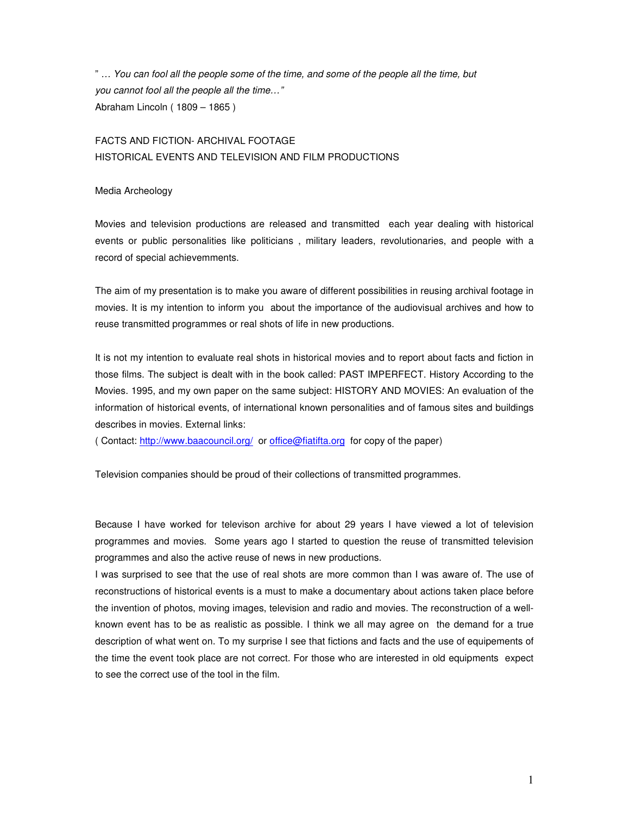" … You can fool all the people some of the time, and some of the people all the time, but you cannot fool all the people all the time…" Abraham Lincoln ( 1809 – 1865 )

# FACTS AND FICTION- ARCHIVAL FOOTAGE HISTORICAL EVENTS AND TELEVISION AND FILM PRODUCTIONS

#### Media Archeology

Movies and television productions are released and transmitted each year dealing with historical events or public personalities like politicians , military leaders, revolutionaries, and people with a record of special achievemments.

The aim of my presentation is to make you aware of different possibilities in reusing archival footage in movies. It is my intention to inform you about the importance of the audiovisual archives and how to reuse transmitted programmes or real shots of life in new productions.

It is not my intention to evaluate real shots in historical movies and to report about facts and fiction in those films. The subject is dealt with in the book called: PAST IMPERFECT. History According to the Movies. 1995, and my own paper on the same subject: HISTORY AND MOVIES: An evaluation of the information of historical events, of international known personalities and of famous sites and buildings describes in movies. External links:

( Contact: http://www.baacouncil.org/ or office@fiatifta.org for copy of the paper)

Television companies should be proud of their collections of transmitted programmes.

Because I have worked for televison archive for about 29 years I have viewed a lot of television programmes and movies. Some years ago I started to question the reuse of transmitted television programmes and also the active reuse of news in new productions.

I was surprised to see that the use of real shots are more common than I was aware of. The use of reconstructions of historical events is a must to make a documentary about actions taken place before the invention of photos, moving images, television and radio and movies. The reconstruction of a wellknown event has to be as realistic as possible. I think we all may agree on the demand for a true description of what went on. To my surprise I see that fictions and facts and the use of equipements of the time the event took place are not correct. For those who are interested in old equipments expect to see the correct use of the tool in the film.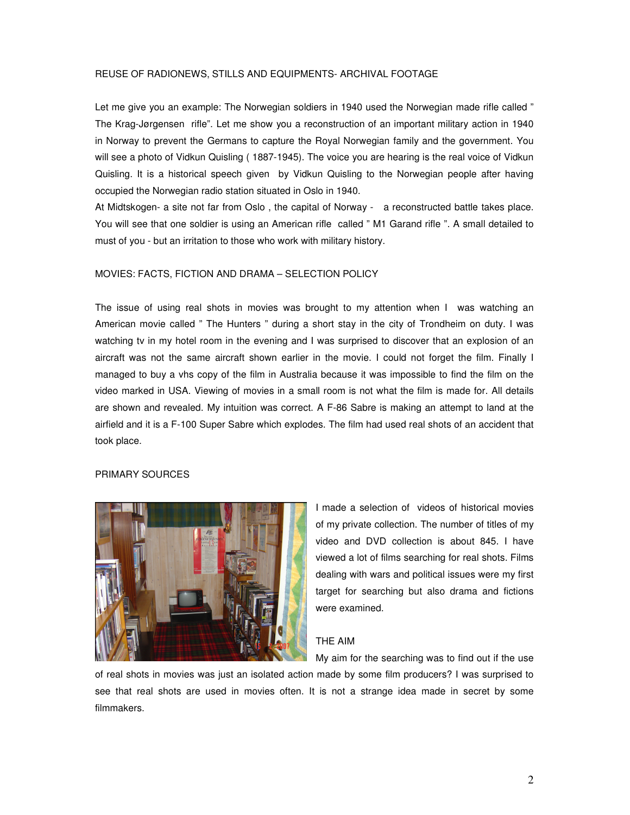### REUSE OF RADIONEWS, STILLS AND EQUIPMENTS- ARCHIVAL FOOTAGE

Let me give you an example: The Norwegian soldiers in 1940 used the Norwegian made rifle called " The Krag-Jørgensen rifle". Let me show you a reconstruction of an important military action in 1940 in Norway to prevent the Germans to capture the Royal Norwegian family and the government. You will see a photo of Vidkun Quisling ( 1887-1945). The voice you are hearing is the real voice of Vidkun Quisling. It is a historical speech given by Vidkun Quisling to the Norwegian people after having occupied the Norwegian radio station situated in Oslo in 1940.

At Midtskogen- a site not far from Oslo , the capital of Norway - a reconstructed battle takes place. You will see that one soldier is using an American rifle called " M1 Garand rifle ". A small detailed to must of you - but an irritation to those who work with military history.

#### MOVIES: FACTS, FICTION AND DRAMA – SELECTION POLICY

The issue of using real shots in movies was brought to my attention when I was watching an American movie called " The Hunters " during a short stay in the city of Trondheim on duty. I was watching tv in my hotel room in the evening and I was surprised to discover that an explosion of an aircraft was not the same aircraft shown earlier in the movie. I could not forget the film. Finally I managed to buy a vhs copy of the film in Australia because it was impossible to find the film on the video marked in USA. Viewing of movies in a small room is not what the film is made for. All details are shown and revealed. My intuition was correct. A F-86 Sabre is making an attempt to land at the airfield and it is a F-100 Super Sabre which explodes. The film had used real shots of an accident that took place.

### PRIMARY SOURCES



I made a selection of videos of historical movies of my private collection. The number of titles of my video and DVD collection is about 845. I have viewed a lot of films searching for real shots. Films dealing with wars and political issues were my first target for searching but also drama and fictions were examined.

#### THE AIM

My aim for the searching was to find out if the use

of real shots in movies was just an isolated action made by some film producers? I was surprised to see that real shots are used in movies often. It is not a strange idea made in secret by some filmmakers.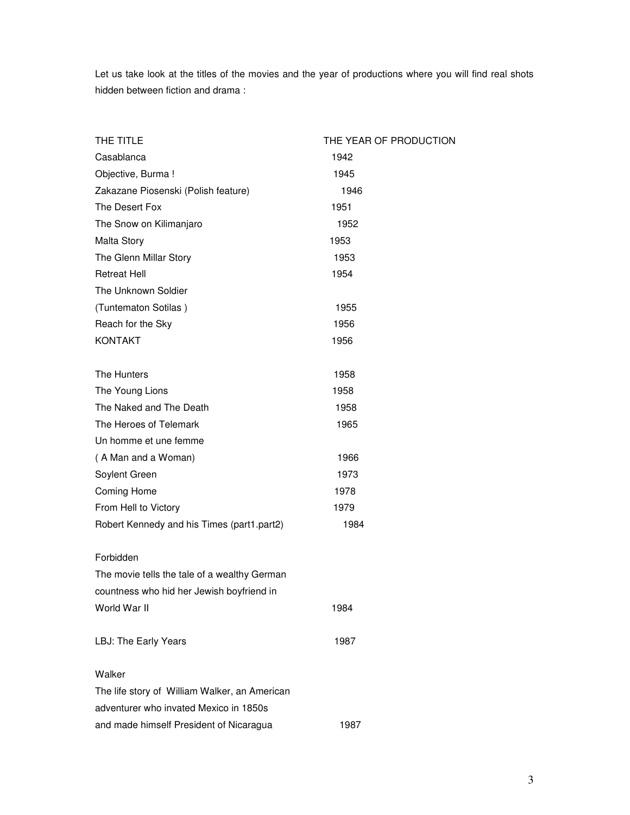Let us take look at the titles of the movies and the year of productions where you will find real shots hidden between fiction and drama :

| THE TITLE                                     | THE YEAR OF PRODUCTION |
|-----------------------------------------------|------------------------|
| Casablanca                                    | 1942                   |
| Objective, Burma !                            | 1945                   |
| Zakazane Piosenski (Polish feature)           | 1946                   |
| The Desert Fox                                | 1951                   |
| The Snow on Kilimanjaro                       | 1952                   |
| Malta Story                                   | 1953                   |
| The Glenn Millar Story                        | 1953                   |
| <b>Retreat Hell</b>                           | 1954                   |
| The Unknown Soldier                           |                        |
| (Tuntematon Sotilas)                          | 1955                   |
| Reach for the Sky                             | 1956                   |
| <b>KONTAKT</b>                                | 1956                   |
|                                               |                        |
| The Hunters                                   | 1958                   |
| The Young Lions                               | 1958                   |
| The Naked and The Death                       | 1958                   |
| The Heroes of Telemark                        | 1965                   |
| Un homme et une femme                         |                        |
| (A Man and a Woman)                           | 1966                   |
| Soylent Green                                 | 1973                   |
| Coming Home                                   | 1978                   |
| From Hell to Victory                          | 1979                   |
| Robert Kennedy and his Times (part1.part2)    | 1984                   |
|                                               |                        |
| Forbidden                                     |                        |
| The movie tells the tale of a wealthy German  |                        |
| countness who hid her Jewish boyfriend in     |                        |
| World War II                                  | 1984                   |
| LBJ: The Early Years                          | 1987                   |
| Walker                                        |                        |
| The life story of William Walker, an American |                        |
| adventurer who invated Mexico in 1850s        |                        |
| and made himself President of Nicaragua       | 1987                   |
|                                               |                        |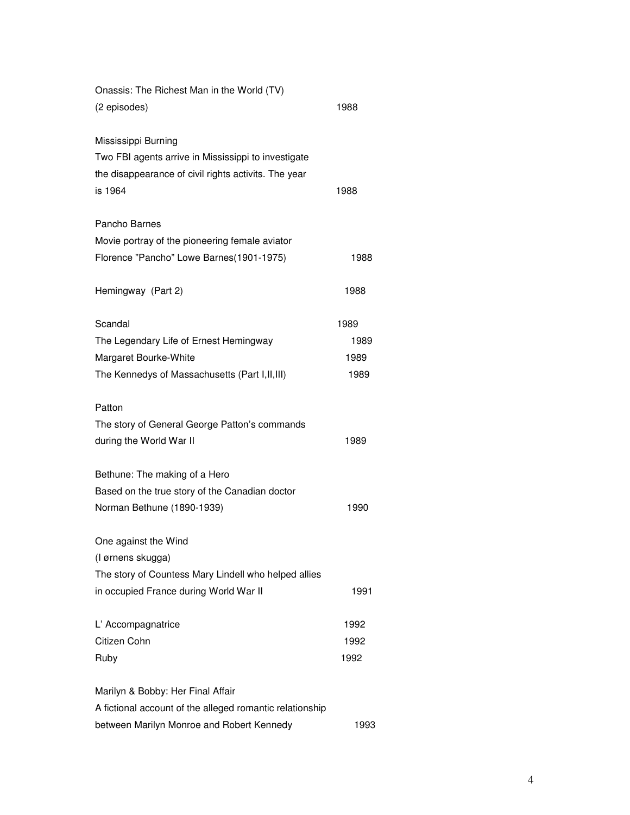| Onassis: The Richest Man in the World (TV)<br>(2 episodes) | 1988 |
|------------------------------------------------------------|------|
| Mississippi Burning                                        |      |
| Two FBI agents arrive in Mississippi to investigate        |      |
| the disappearance of civil rights activits. The year       |      |
| is 1964                                                    | 1988 |
| Pancho Barnes                                              |      |
| Movie portray of the pioneering female aviator             |      |
| Florence "Pancho" Lowe Barnes(1901-1975)                   | 1988 |
| Hemingway (Part 2)                                         | 1988 |
| Scandal                                                    | 1989 |
| The Legendary Life of Ernest Hemingway                     | 1989 |
| Margaret Bourke-White                                      | 1989 |
| The Kennedys of Massachusetts (Part I, II, III)            | 1989 |
| Patton                                                     |      |
| The story of General George Patton's commands              |      |
| during the World War II                                    | 1989 |
| Bethune: The making of a Hero                              |      |
| Based on the true story of the Canadian doctor             |      |
| Norman Bethune (1890-1939)                                 | 1990 |
| One against the Wind                                       |      |
| (I ørnens skugga)                                          |      |
| The story of Countess Mary Lindell who helped allies       |      |
| in occupied France during World War II                     | 1991 |
| L' Accompagnatrice                                         | 1992 |
| Citizen Cohn                                               | 1992 |
| Ruby                                                       | 1992 |
| Marilyn & Bobby: Her Final Affair                          |      |
| A fictional account of the alleged romantic relationship   |      |
| between Marilyn Monroe and Robert Kennedy<br>1993          |      |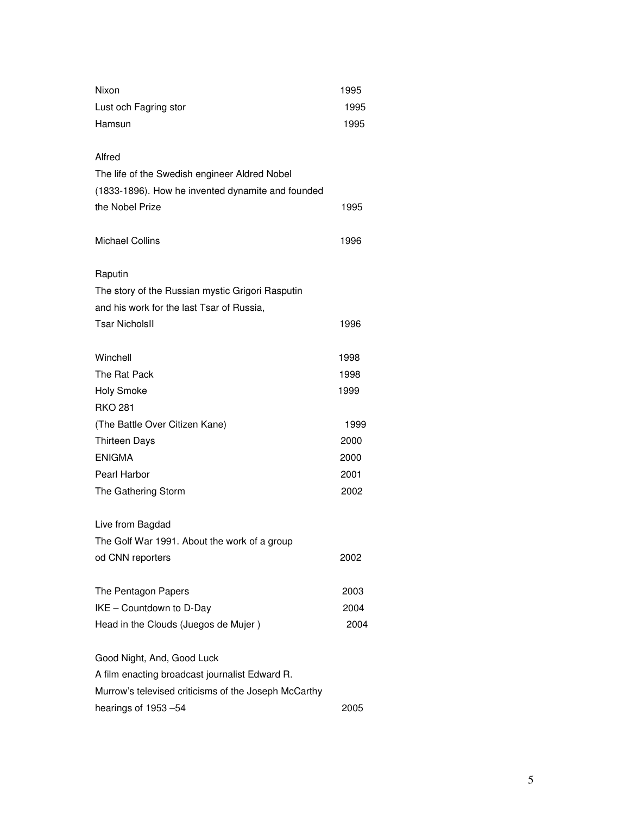| Nixon                                                | 1995         |
|------------------------------------------------------|--------------|
| Lust och Fagring stor                                | 1995         |
| Hamsun                                               | 1995         |
|                                                      |              |
| Alfred                                               |              |
| The life of the Swedish engineer Aldred Nobel        |              |
| (1833-1896). How he invented dynamite and founded    |              |
| the Nobel Prize                                      | 1995         |
|                                                      |              |
| <b>Michael Collins</b>                               | 1996         |
|                                                      |              |
| Raputin                                              |              |
| The story of the Russian mystic Grigori Rasputin     |              |
| and his work for the last Tsar of Russia,            |              |
| <b>Tsar NicholsII</b>                                | 1996         |
|                                                      |              |
| Winchell                                             | 1998         |
| The Rat Pack                                         | 1998         |
| <b>Holy Smoke</b>                                    | 1999         |
| <b>RKO 281</b>                                       |              |
| (The Battle Over Citizen Kane)                       | 1999         |
| <b>Thirteen Days</b>                                 | 2000         |
| <b>ENIGMA</b>                                        | 2000         |
| Pearl Harbor                                         | 2001         |
| The Gathering Storm                                  | 2002         |
|                                                      |              |
| Live from Bagdad                                     |              |
| The Golf War 1991. About the work of a group         |              |
| od CNN reporters                                     | 2002         |
| The Pentagon Papers                                  |              |
| IKE - Countdown to D-Day                             | 2003<br>2004 |
| Head in the Clouds (Juegos de Mujer)                 | 2004         |
|                                                      |              |
| Good Night, And, Good Luck                           |              |
| A film enacting broadcast journalist Edward R.       |              |
| Murrow's televised criticisms of the Joseph McCarthy |              |
| hearings of 1953-54                                  | 2005         |
|                                                      |              |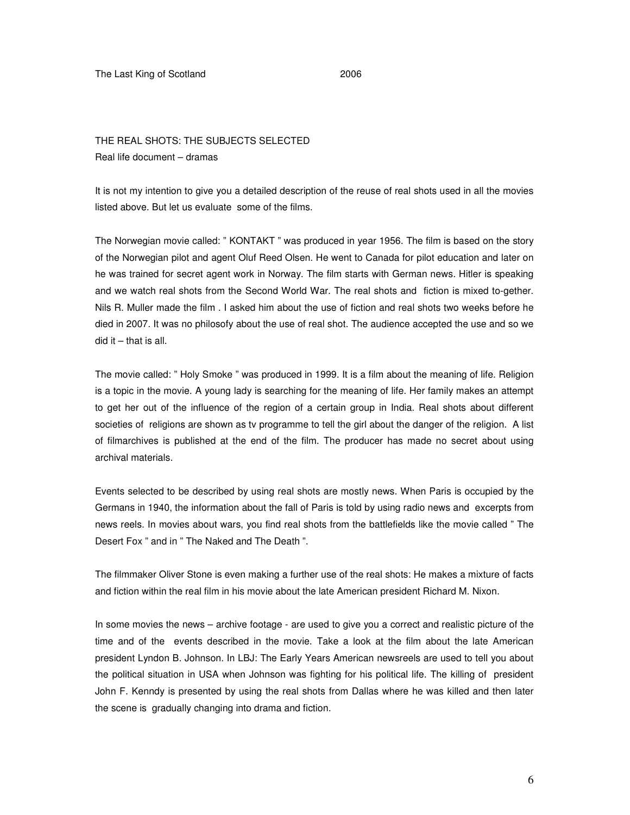### The Last King of Scotland 2006

## THE REAL SHOTS: THE SUBJECTS SELECTED Real life document – dramas

It is not my intention to give you a detailed description of the reuse of real shots used in all the movies listed above. But let us evaluate some of the films.

The Norwegian movie called: " KONTAKT " was produced in year 1956. The film is based on the story of the Norwegian pilot and agent Oluf Reed Olsen. He went to Canada for pilot education and later on he was trained for secret agent work in Norway. The film starts with German news. Hitler is speaking and we watch real shots from the Second World War. The real shots and fiction is mixed to-gether. Nils R. Muller made the film . I asked him about the use of fiction and real shots two weeks before he died in 2007. It was no philosofy about the use of real shot. The audience accepted the use and so we did it – that is all.

The movie called: " Holy Smoke " was produced in 1999. It is a film about the meaning of life. Religion is a topic in the movie. A young lady is searching for the meaning of life. Her family makes an attempt to get her out of the influence of the region of a certain group in India. Real shots about different societies of religions are shown as tv programme to tell the girl about the danger of the religion. A list of filmarchives is published at the end of the film. The producer has made no secret about using archival materials.

Events selected to be described by using real shots are mostly news. When Paris is occupied by the Germans in 1940, the information about the fall of Paris is told by using radio news and excerpts from news reels. In movies about wars, you find real shots from the battlefields like the movie called " The Desert Fox " and in " The Naked and The Death ".

The filmmaker Oliver Stone is even making a further use of the real shots: He makes a mixture of facts and fiction within the real film in his movie about the late American president Richard M. Nixon.

In some movies the news – archive footage - are used to give you a correct and realistic picture of the time and of the events described in the movie. Take a look at the film about the late American president Lyndon B. Johnson. In LBJ: The Early Years American newsreels are used to tell you about the political situation in USA when Johnson was fighting for his political life. The killing of president John F. Kenndy is presented by using the real shots from Dallas where he was killed and then later the scene is gradually changing into drama and fiction.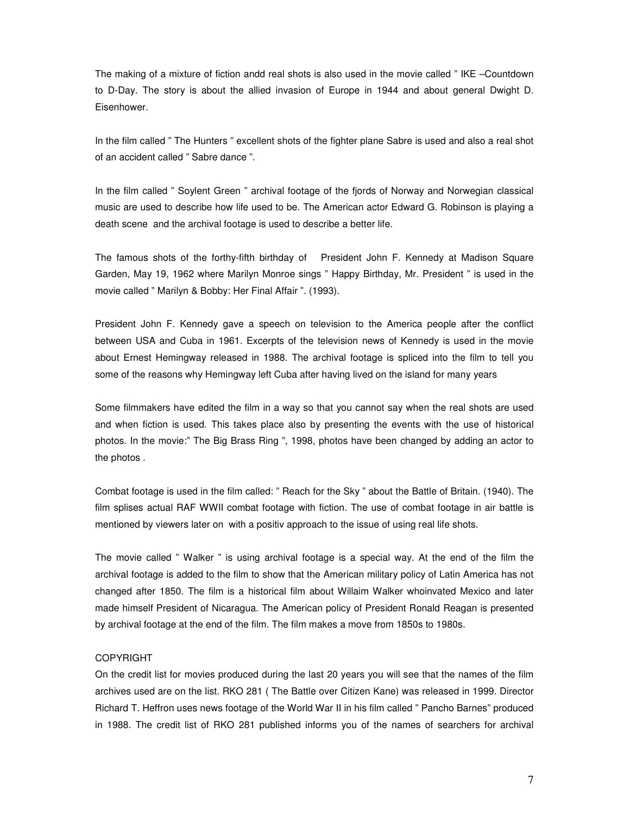The making of a mixture of fiction andd real shots is also used in the movie called " IKE –Countdown to D-Day. The story is about the allied invasion of Europe in 1944 and about general Dwight D. Eisenhower.

In the film called " The Hunters " excellent shots of the fighter plane Sabre is used and also a real shot of an accident called " Sabre dance ".

In the film called " Soylent Green " archival footage of the fjords of Norway and Norwegian classical music are used to describe how life used to be. The American actor Edward G. Robinson is playing a death scene and the archival footage is used to describe a better life.

The famous shots of the forthy-fifth birthday of President John F. Kennedy at Madison Square Garden, May 19, 1962 where Marilyn Monroe sings " Happy Birthday, Mr. President " is used in the movie called " Marilyn & Bobby: Her Final Affair ". (1993).

President John F. Kennedy gave a speech on television to the America people after the conflict between USA and Cuba in 1961. Excerpts of the television news of Kennedy is used in the movie about Ernest Hemingway released in 1988. The archival footage is spliced into the film to tell you some of the reasons why Hemingway left Cuba after having lived on the island for many years

Some filmmakers have edited the film in a way so that you cannot say when the real shots are used and when fiction is used. This takes place also by presenting the events with the use of historical photos. In the movie:" The Big Brass Ring ", 1998, photos have been changed by adding an actor to the photos .

Combat footage is used in the film called: " Reach for the Sky " about the Battle of Britain. (1940). The film splises actual RAF WWII combat footage with fiction. The use of combat footage in air battle is mentioned by viewers later on with a positiv approach to the issue of using real life shots.

The movie called " Walker " is using archival footage is a special way. At the end of the film the archival footage is added to the film to show that the American military policy of Latin America has not changed after 1850. The film is a historical film about Willaim Walker whoinvated Mexico and later made himself President of Nicaragua. The American policy of President Ronald Reagan is presented by archival footage at the end of the film. The film makes a move from 1850s to 1980s.

#### COPYRIGHT

On the credit list for movies produced during the last 20 years you will see that the names of the film archives used are on the list. RKO 281 ( The Battle over Citizen Kane) was released in 1999. Director Richard T. Heffron uses news footage of the World War II in his film called " Pancho Barnes" produced in 1988. The credit list of RKO 281 published informs you of the names of searchers for archival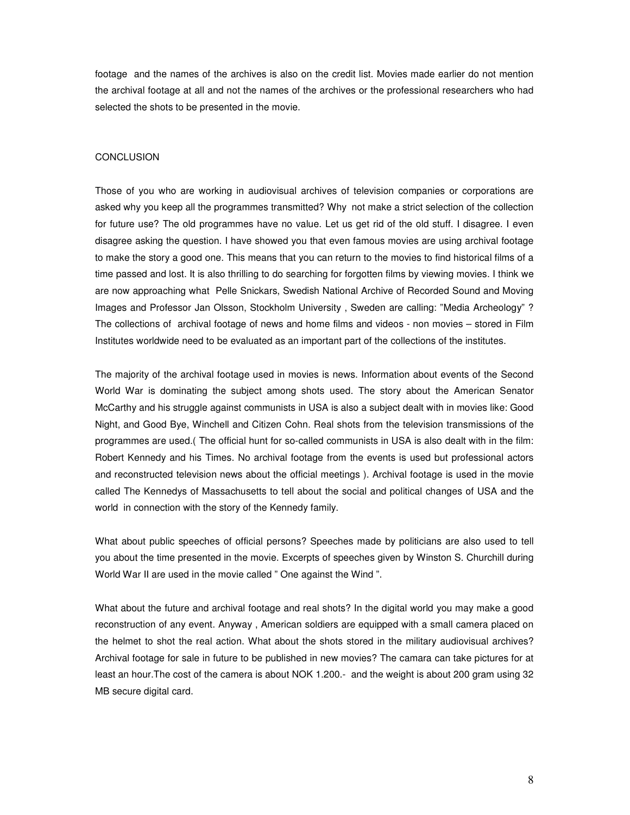footage and the names of the archives is also on the credit list. Movies made earlier do not mention the archival footage at all and not the names of the archives or the professional researchers who had selected the shots to be presented in the movie.

#### **CONCLUSION**

Those of you who are working in audiovisual archives of television companies or corporations are asked why you keep all the programmes transmitted? Why not make a strict selection of the collection for future use? The old programmes have no value. Let us get rid of the old stuff. I disagree. I even disagree asking the question. I have showed you that even famous movies are using archival footage to make the story a good one. This means that you can return to the movies to find historical films of a time passed and lost. It is also thrilling to do searching for forgotten films by viewing movies. I think we are now approaching what Pelle Snickars, Swedish National Archive of Recorded Sound and Moving Images and Professor Jan Olsson, Stockholm University , Sweden are calling: "Media Archeology" ? The collections of archival footage of news and home films and videos - non movies – stored in Film Institutes worldwide need to be evaluated as an important part of the collections of the institutes.

The majority of the archival footage used in movies is news. Information about events of the Second World War is dominating the subject among shots used. The story about the American Senator McCarthy and his struggle against communists in USA is also a subject dealt with in movies like: Good Night, and Good Bye, Winchell and Citizen Cohn. Real shots from the television transmissions of the programmes are used.( The official hunt for so-called communists in USA is also dealt with in the film: Robert Kennedy and his Times. No archival footage from the events is used but professional actors and reconstructed television news about the official meetings ). Archival footage is used in the movie called The Kennedys of Massachusetts to tell about the social and political changes of USA and the world in connection with the story of the Kennedy family.

What about public speeches of official persons? Speeches made by politicians are also used to tell you about the time presented in the movie. Excerpts of speeches given by Winston S. Churchill during World War II are used in the movie called " One against the Wind ".

What about the future and archival footage and real shots? In the digital world you may make a good reconstruction of any event. Anyway , American soldiers are equipped with a small camera placed on the helmet to shot the real action. What about the shots stored in the military audiovisual archives? Archival footage for sale in future to be published in new movies? The camara can take pictures for at least an hour.The cost of the camera is about NOK 1.200.- and the weight is about 200 gram using 32 MB secure digital card.